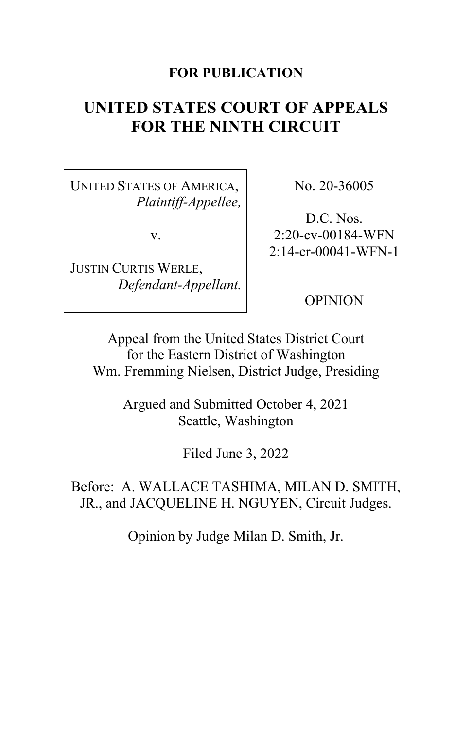# **FOR PUBLICATION**

# **UNITED STATES COURT OF APPEALS FOR THE NINTH CIRCUIT**

UNITED STATES OF AMERICA, *Plaintiff-Appellee,*

v.

JUSTIN CURTIS WERLE, *Defendant-Appellant.* No. 20-36005

D.C. Nos. 2:20-cv-00184-WFN 2:14-cr-00041-WFN-1

OPINION

Appeal from the United States District Court for the Eastern District of Washington Wm. Fremming Nielsen, District Judge, Presiding

> Argued and Submitted October 4, 2021 Seattle, Washington

> > Filed June 3, 2022

Before: A. WALLACE TASHIMA, MILAN D. SMITH, JR., and JACQUELINE H. NGUYEN, Circuit Judges.

Opinion by Judge Milan D. Smith, Jr.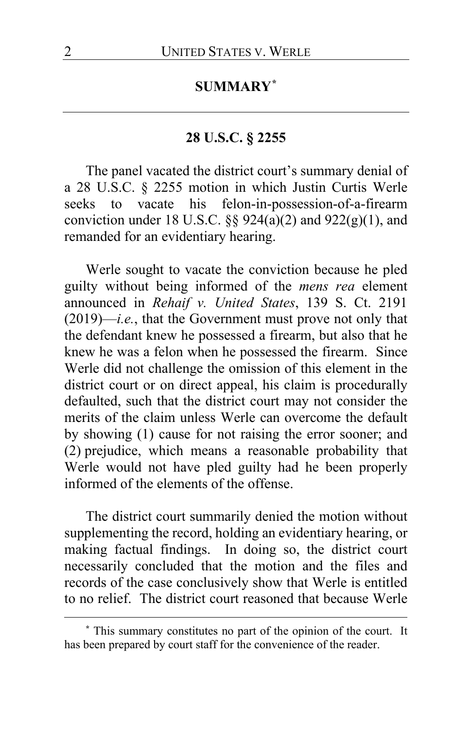# **SUMMARY[\\*](#page-1-0)**

# **28 U.S.C. § 2255**

The panel vacated the district court's summary denial of a 28 U.S.C. § 2255 motion in which Justin Curtis Werle seeks to vacate his felon-in-possession-of-a-firearm conviction under 18 U.S.C.  $\S\S 924(a)(2)$  and  $922(g)(1)$ , and remanded for an evidentiary hearing.

Werle sought to vacate the conviction because he pled guilty without being informed of the *mens rea* element announced in *Rehaif v. United States*, 139 S. Ct. 2191 (2019)—*i.e.*, that the Government must prove not only that the defendant knew he possessed a firearm, but also that he knew he was a felon when he possessed the firearm. Since Werle did not challenge the omission of this element in the district court or on direct appeal, his claim is procedurally defaulted, such that the district court may not consider the merits of the claim unless Werle can overcome the default by showing (1) cause for not raising the error sooner; and (2) prejudice, which means a reasonable probability that Werle would not have pled guilty had he been properly informed of the elements of the offense.

The district court summarily denied the motion without supplementing the record, holding an evidentiary hearing, or making factual findings. In doing so, the district court necessarily concluded that the motion and the files and records of the case conclusively show that Werle is entitled to no relief. The district court reasoned that because Werle

<span id="page-1-0"></span>**<sup>\*</sup>** This summary constitutes no part of the opinion of the court. It has been prepared by court staff for the convenience of the reader.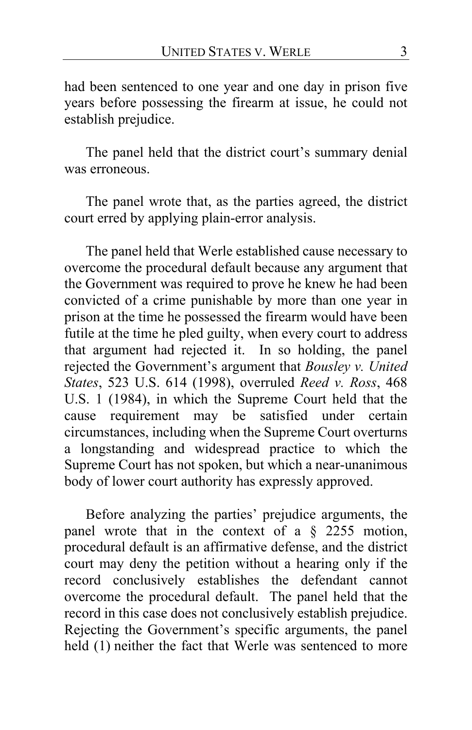had been sentenced to one year and one day in prison five years before possessing the firearm at issue, he could not establish prejudice.

The panel held that the district court's summary denial was erroneous.

The panel wrote that, as the parties agreed, the district court erred by applying plain-error analysis.

The panel held that Werle established cause necessary to overcome the procedural default because any argument that the Government was required to prove he knew he had been convicted of a crime punishable by more than one year in prison at the time he possessed the firearm would have been futile at the time he pled guilty, when every court to address that argument had rejected it. In so holding, the panel rejected the Government's argument that *Bousley v. United States*, 523 U.S. 614 (1998), overruled *Reed v. Ross*, 468 U.S. 1 (1984), in which the Supreme Court held that the cause requirement may be satisfied under certain circumstances, including when the Supreme Court overturns a longstanding and widespread practice to which the Supreme Court has not spoken, but which a near-unanimous body of lower court authority has expressly approved.

Before analyzing the parties' prejudice arguments, the panel wrote that in the context of a § 2255 motion, procedural default is an affirmative defense, and the district court may deny the petition without a hearing only if the record conclusively establishes the defendant cannot overcome the procedural default. The panel held that the record in this case does not conclusively establish prejudice. Rejecting the Government's specific arguments, the panel held (1) neither the fact that Werle was sentenced to more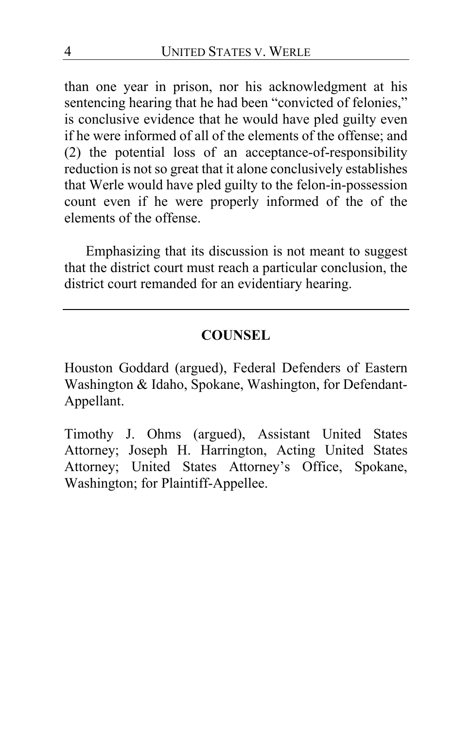than one year in prison, nor his acknowledgment at his sentencing hearing that he had been "convicted of felonies," is conclusive evidence that he would have pled guilty even if he were informed of all of the elements of the offense; and (2) the potential loss of an acceptance-of-responsibility reduction is not so great that it alone conclusively establishes that Werle would have pled guilty to the felon-in-possession count even if he were properly informed of the of the elements of the offense.

Emphasizing that its discussion is not meant to suggest that the district court must reach a particular conclusion, the district court remanded for an evidentiary hearing.

# **COUNSEL**

Houston Goddard (argued), Federal Defenders of Eastern Washington & Idaho, Spokane, Washington, for Defendant-Appellant.

Timothy J. Ohms (argued), Assistant United States Attorney; Joseph H. Harrington, Acting United States Attorney; United States Attorney's Office, Spokane, Washington; for Plaintiff-Appellee.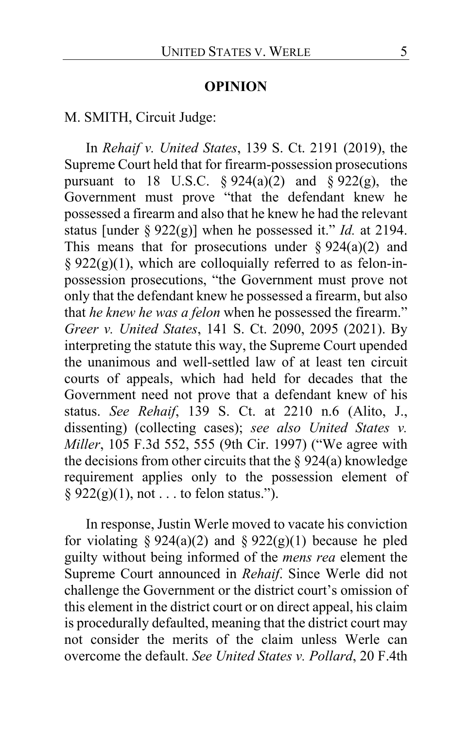### **OPINION**

M. SMITH, Circuit Judge:

In *Rehaif v. United States*, 139 S. Ct. 2191 (2019), the Supreme Court held that for firearm-possession prosecutions pursuant to 18 U.S.C.  $\S 924(a)(2)$  and  $\S 922(g)$ , the Government must prove "that the defendant knew he possessed a firearm and also that he knew he had the relevant status [under § 922(g)] when he possessed it." *Id.* at 2194. This means that for prosecutions under  $\S 924(a)(2)$  and §  $922(g)(1)$ , which are colloquially referred to as felon-inpossession prosecutions, "the Government must prove not only that the defendant knew he possessed a firearm, but also that *he knew he was a felon* when he possessed the firearm." *Greer v. United States*, 141 S. Ct. 2090, 2095 (2021). By interpreting the statute this way, the Supreme Court upended the unanimous and well-settled law of at least ten circuit courts of appeals, which had held for decades that the Government need not prove that a defendant knew of his status. *See Rehaif*, 139 S. Ct. at 2210 n.6 (Alito, J., dissenting) (collecting cases); *see also United States v. Miller*, 105 F.3d 552, 555 (9th Cir. 1997) ("We agree with the decisions from other circuits that the  $\S 924(a)$  knowledge requirement applies only to the possession element of  $§ 922(g)(1)$ , not . . . to felon status.").

In response, Justin Werle moved to vacate his conviction for violating § 924(a)(2) and § 922(g)(1) because he pled guilty without being informed of the *mens rea* element the Supreme Court announced in *Rehaif*. Since Werle did not challenge the Government or the district court's omission of this element in the district court or on direct appeal, his claim is procedurally defaulted, meaning that the district court may not consider the merits of the claim unless Werle can overcome the default. *See United States v. Pollard*, 20 F.4th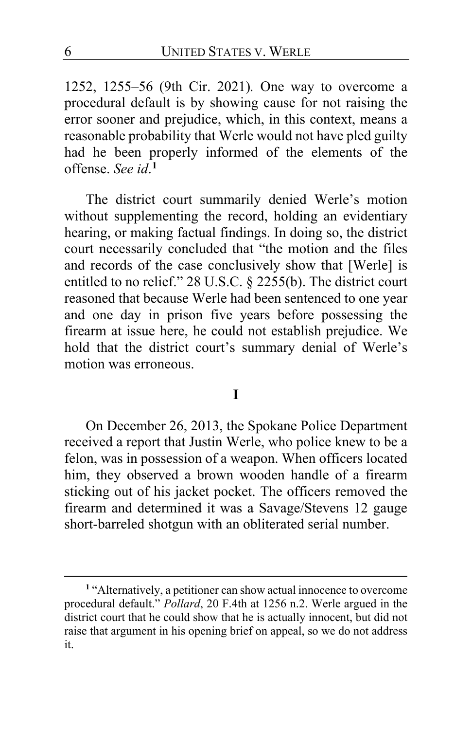1252, 1255–56 (9th Cir. 2021)*.* One way to overcome a procedural default is by showing cause for not raising the error sooner and prejudice, which, in this context, means a reasonable probability that Werle would not have pled guilty had he been properly informed of the elements of the offense. *See id*. **[1](#page-5-0)**

The district court summarily denied Werle's motion without supplementing the record, holding an evidentiary hearing, or making factual findings. In doing so, the district court necessarily concluded that "the motion and the files and records of the case conclusively show that [Werle] is entitled to no relief." 28 U.S.C. § 2255(b). The district court reasoned that because Werle had been sentenced to one year and one day in prison five years before possessing the firearm at issue here, he could not establish prejudice. We hold that the district court's summary denial of Werle's motion was erroneous.

# **I**

On December 26, 2013, the Spokane Police Department received a report that Justin Werle, who police knew to be a felon, was in possession of a weapon. When officers located him, they observed a brown wooden handle of a firearm sticking out of his jacket pocket. The officers removed the firearm and determined it was a Savage/Stevens 12 gauge short-barreled shotgun with an obliterated serial number.

<span id="page-5-0"></span>**<sup>1</sup>** "Alternatively, a petitioner can show actual innocence to overcome procedural default." *Pollard*, 20 F.4th at 1256 n.2. Werle argued in the district court that he could show that he is actually innocent, but did not raise that argument in his opening brief on appeal, so we do not address it.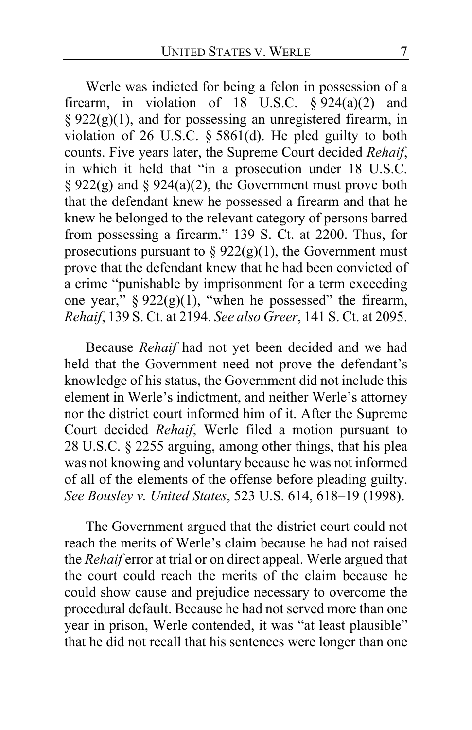Werle was indicted for being a felon in possession of a firearm, in violation of 18 U.S.C.  $\sqrt[5]{924(a)(2)}$  and § 922(g)(1), and for possessing an unregistered firearm, in violation of 26 U.S.C. § 5861(d). He pled guilty to both counts. Five years later, the Supreme Court decided *Rehaif*, in which it held that "in a prosecution under 18 U.S.C. § 922(g) and § 924(a)(2), the Government must prove both that the defendant knew he possessed a firearm and that he knew he belonged to the relevant category of persons barred from possessing a firearm." 139 S. Ct. at 2200. Thus, for prosecutions pursuant to  $\S 922(g)(1)$ , the Government must prove that the defendant knew that he had been convicted of a crime "punishable by imprisonment for a term exceeding one year,"  $\S 922(g)(1)$ , "when he possessed" the firearm, *Rehaif*, 139 S. Ct. at 2194. *See also Greer*, 141 S. Ct. at 2095.

Because *Rehaif* had not yet been decided and we had held that the Government need not prove the defendant's knowledge of his status, the Government did not include this element in Werle's indictment, and neither Werle's attorney nor the district court informed him of it. After the Supreme Court decided *Rehaif*, Werle filed a motion pursuant to 28 U.S.C. § 2255 arguing, among other things, that his plea was not knowing and voluntary because he was not informed of all of the elements of the offense before pleading guilty. *See Bousley v. United States*, 523 U.S. 614, 618–19 (1998).

The Government argued that the district court could not reach the merits of Werle's claim because he had not raised the *Rehaif* error at trial or on direct appeal. Werle argued that the court could reach the merits of the claim because he could show cause and prejudice necessary to overcome the procedural default. Because he had not served more than one year in prison, Werle contended, it was "at least plausible" that he did not recall that his sentences were longer than one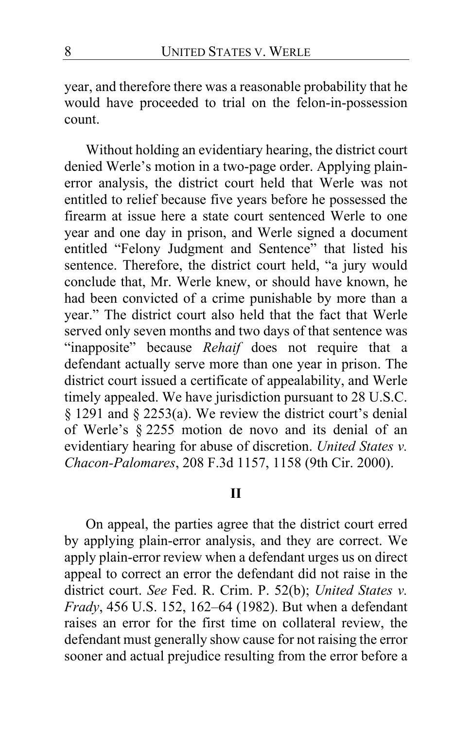year, and therefore there was a reasonable probability that he would have proceeded to trial on the felon-in-possession count.

Without holding an evidentiary hearing, the district court denied Werle's motion in a two-page order. Applying plainerror analysis, the district court held that Werle was not entitled to relief because five years before he possessed the firearm at issue here a state court sentenced Werle to one year and one day in prison, and Werle signed a document entitled "Felony Judgment and Sentence" that listed his sentence. Therefore, the district court held, "a jury would conclude that, Mr. Werle knew, or should have known, he had been convicted of a crime punishable by more than a year." The district court also held that the fact that Werle served only seven months and two days of that sentence was "inapposite" because *Rehaif* does not require that a defendant actually serve more than one year in prison. The district court issued a certificate of appealability, and Werle timely appealed. We have jurisdiction pursuant to 28 U.S.C. § 1291 and § 2253(a). We review the district court's denial of Werle's § 2255 motion de novo and its denial of an evidentiary hearing for abuse of discretion. *United States v. Chacon-Palomares*, 208 F.3d 1157, 1158 (9th Cir. 2000).

# **II**

On appeal, the parties agree that the district court erred by applying plain-error analysis, and they are correct. We apply plain-error review when a defendant urges us on direct appeal to correct an error the defendant did not raise in the district court. *See* Fed. R. Crim. P. 52(b); *United States v. Frady*, 456 U.S. 152, 162–64 (1982). But when a defendant raises an error for the first time on collateral review, the defendant must generally show cause for not raising the error sooner and actual prejudice resulting from the error before a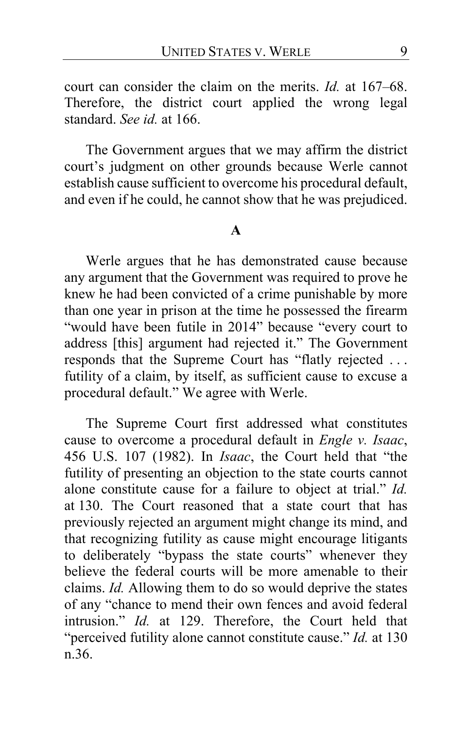court can consider the claim on the merits. *Id.* at 167–68. Therefore, the district court applied the wrong legal standard. *See id.* at 166.

The Government argues that we may affirm the district court's judgment on other grounds because Werle cannot establish cause sufficient to overcome his procedural default, and even if he could, he cannot show that he was prejudiced.

## **A**

Werle argues that he has demonstrated cause because any argument that the Government was required to prove he knew he had been convicted of a crime punishable by more than one year in prison at the time he possessed the firearm "would have been futile in 2014" because "every court to address [this] argument had rejected it." The Government responds that the Supreme Court has "flatly rejected . . . futility of a claim, by itself, as sufficient cause to excuse a procedural default." We agree with Werle.

The Supreme Court first addressed what constitutes cause to overcome a procedural default in *Engle v. Isaac*, 456 U.S. 107 (1982). In *Isaac*, the Court held that "the futility of presenting an objection to the state courts cannot alone constitute cause for a failure to object at trial." *Id.* at 130. The Court reasoned that a state court that has previously rejected an argument might change its mind, and that recognizing futility as cause might encourage litigants to deliberately "bypass the state courts" whenever they believe the federal courts will be more amenable to their claims. *Id.* Allowing them to do so would deprive the states of any "chance to mend their own fences and avoid federal intrusion." *Id.* at 129. Therefore, the Court held that "perceived futility alone cannot constitute cause." *Id.* at 130 n.36.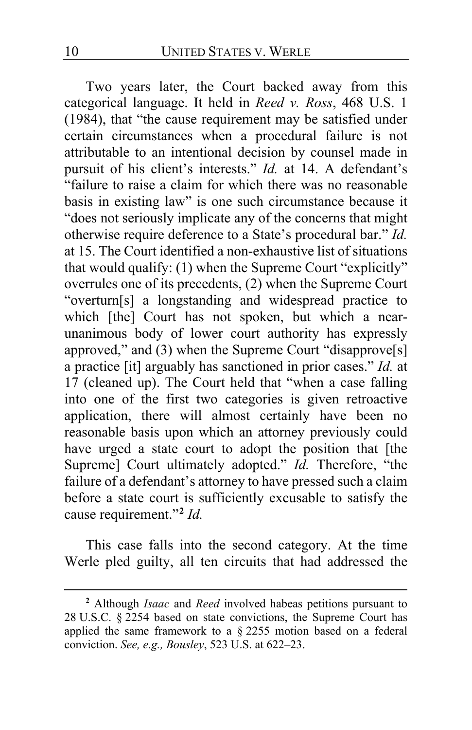Two years later, the Court backed away from this categorical language. It held in *Reed v. Ross*, 468 U.S. 1 (1984), that "the cause requirement may be satisfied under certain circumstances when a procedural failure is not attributable to an intentional decision by counsel made in pursuit of his client's interests." *Id.* at 14. A defendant's "failure to raise a claim for which there was no reasonable basis in existing law" is one such circumstance because it "does not seriously implicate any of the concerns that might otherwise require deference to a State's procedural bar." *Id.* at 15. The Court identified a non-exhaustive list of situations that would qualify: (1) when the Supreme Court "explicitly" overrules one of its precedents, (2) when the Supreme Court "overturn[s] a longstanding and widespread practice to which [the] Court has not spoken, but which a nearunanimous body of lower court authority has expressly approved," and (3) when the Supreme Court "disapprove<sup>[s]</sup> a practice [it] arguably has sanctioned in prior cases." *Id.* at 17 (cleaned up). The Court held that "when a case falling into one of the first two categories is given retroactive application, there will almost certainly have been no reasonable basis upon which an attorney previously could have urged a state court to adopt the position that [the Supreme] Court ultimately adopted." *Id.* Therefore, "the failure of a defendant's attorney to have pressed such a claim before a state court is sufficiently excusable to satisfy the cause requirement."**[2](#page-9-0)** *Id.*

This case falls into the second category. At the time Werle pled guilty, all ten circuits that had addressed the

<span id="page-9-0"></span>**<sup>2</sup>** Although *Isaac* and *Reed* involved habeas petitions pursuant to 28 U.S.C. § 2254 based on state convictions, the Supreme Court has applied the same framework to a § 2255 motion based on a federal conviction. *See, e.g., Bousley*, 523 U.S. at 622–23.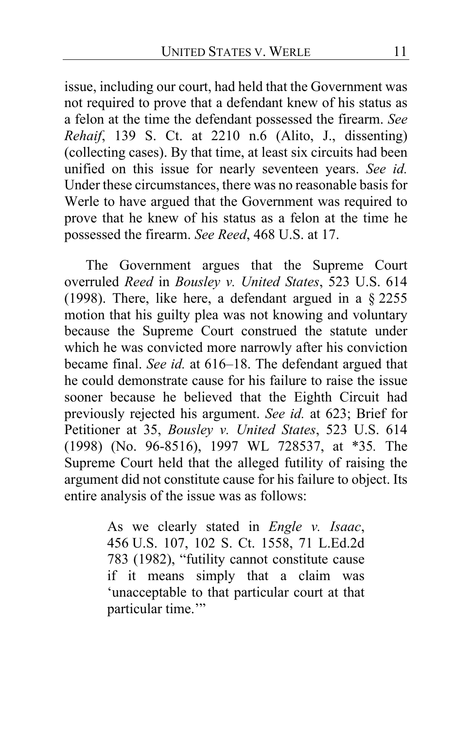issue, including our court, had held that the Government was not required to prove that a defendant knew of his status as a felon at the time the defendant possessed the firearm. *See Rehaif*, 139 S. Ct. at 2210 n.6 (Alito, J., dissenting) (collecting cases). By that time, at least six circuits had been unified on this issue for nearly seventeen years. *See id.* Under these circumstances, there was no reasonable basis for Werle to have argued that the Government was required to prove that he knew of his status as a felon at the time he possessed the firearm. *See Reed*, 468 U.S. at 17.

The Government argues that the Supreme Court overruled *Reed* in *Bousley v. United States*, 523 U.S. 614 (1998). There, like here, a defendant argued in a § 2255 motion that his guilty plea was not knowing and voluntary because the Supreme Court construed the statute under which he was convicted more narrowly after his conviction became final. *See id.* at 616–18. The defendant argued that he could demonstrate cause for his failure to raise the issue sooner because he believed that the Eighth Circuit had previously rejected his argument. *See id.* at 623; Brief for Petitioner at 35, *Bousley v. United States*, 523 U.S. 614 (1998) (No. 96-8516), 1997 WL 728537, at \*35*.* The Supreme Court held that the alleged futility of raising the argument did not constitute cause for his failure to object. Its entire analysis of the issue was as follows:

> As we clearly stated in *Engle v. Isaac*, 456 U.S. 107, 102 S. Ct. 1558, 71 L.Ed.2d 783 (1982), "futility cannot constitute cause if it means simply that a claim was 'unacceptable to that particular court at that particular time."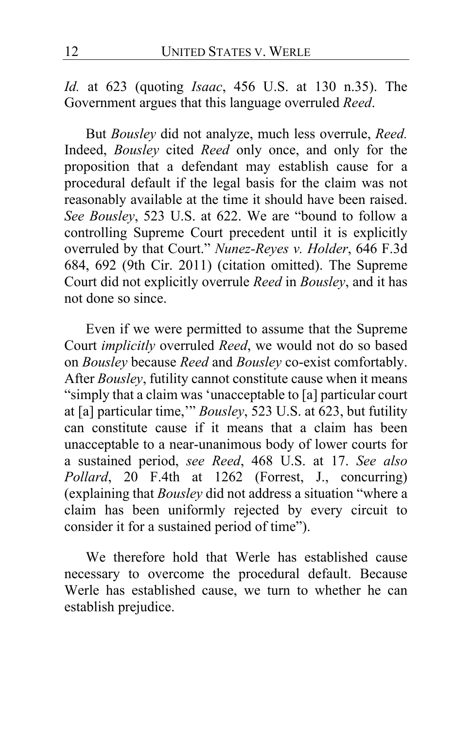*Id.* at 623 (quoting *Isaac*, 456 U.S. at 130 n.35). The Government argues that this language overruled *Reed*.

But *Bousley* did not analyze, much less overrule, *Reed.*  Indeed, *Bousley* cited *Reed* only once, and only for the proposition that a defendant may establish cause for a procedural default if the legal basis for the claim was not reasonably available at the time it should have been raised. *See Bousley*, 523 U.S. at 622. We are "bound to follow a controlling Supreme Court precedent until it is explicitly overruled by that Court." *Nunez-Reyes v. Holder*, 646 F.3d 684, 692 (9th Cir. 2011) (citation omitted). The Supreme Court did not explicitly overrule *Reed* in *Bousley*, and it has not done so since.

Even if we were permitted to assume that the Supreme Court *implicitly* overruled *Reed*, we would not do so based on *Bousley* because *Reed* and *Bousley* co-exist comfortably. After *Bousley*, futility cannot constitute cause when it means "simply that a claim was 'unacceptable to [a] particular court at [a] particular time,'" *Bousley*, 523 U.S. at 623, but futility can constitute cause if it means that a claim has been unacceptable to a near-unanimous body of lower courts for a sustained period, *see Reed*, 468 U.S. at 17. *See also Pollard*, 20 F.4th at 1262 (Forrest, J., concurring) (explaining that *Bousley* did not address a situation "where a claim has been uniformly rejected by every circuit to consider it for a sustained period of time").

We therefore hold that Werle has established cause necessary to overcome the procedural default. Because Werle has established cause, we turn to whether he can establish prejudice.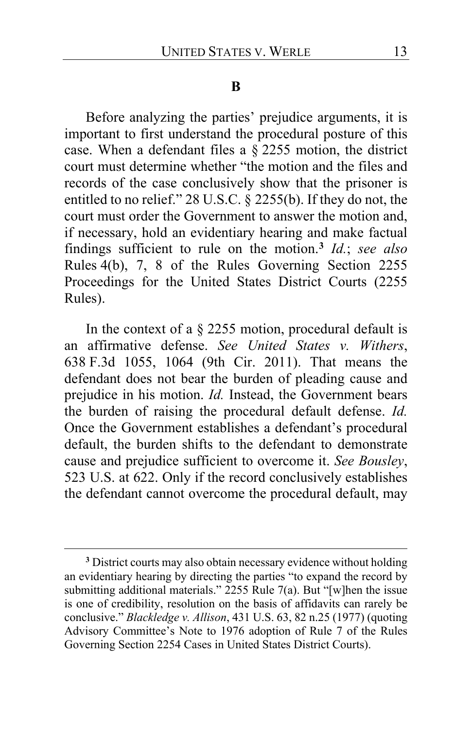#### **B**

Before analyzing the parties' prejudice arguments, it is important to first understand the procedural posture of this case. When a defendant files a § 2255 motion, the district court must determine whether "the motion and the files and records of the case conclusively show that the prisoner is entitled to no relief." 28 U.S.C. § 2255(b). If they do not, the court must order the Government to answer the motion and, if necessary, hold an evidentiary hearing and make factual findings sufficient to rule on the motion.**[3](#page-12-0)** *Id.*; *see also*  Rules 4(b), 7, 8 of the Rules Governing Section 2255 Proceedings for the United States District Courts (2255 Rules).

In the context of a § 2255 motion, procedural default is an affirmative defense. *See United States v. Withers*, 638 F.3d 1055, 1064 (9th Cir. 2011). That means the defendant does not bear the burden of pleading cause and prejudice in his motion. *Id.* Instead, the Government bears the burden of raising the procedural default defense. *Id.* Once the Government establishes a defendant's procedural default, the burden shifts to the defendant to demonstrate cause and prejudice sufficient to overcome it. *See Bousley*, 523 U.S. at 622. Only if the record conclusively establishes the defendant cannot overcome the procedural default, may

<span id="page-12-0"></span>**<sup>3</sup>** District courts may also obtain necessary evidence without holding an evidentiary hearing by directing the parties "to expand the record by submitting additional materials." 2255 Rule 7(a). But "[w]hen the issue is one of credibility, resolution on the basis of affidavits can rarely be conclusive." *Blackledge v. Allison*, 431 U.S. 63, 82 n.25 (1977) (quoting Advisory Committee's Note to 1976 adoption of Rule 7 of the Rules Governing Section 2254 Cases in United States District Courts).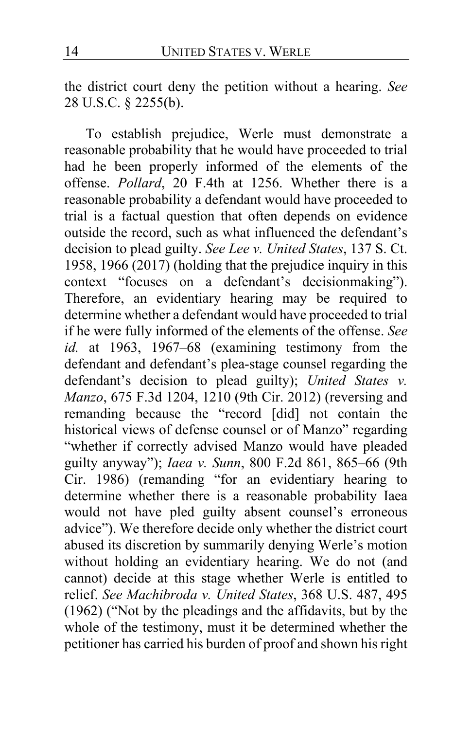the district court deny the petition without a hearing. *See*  28 U.S.C. § 2255(b).

To establish prejudice, Werle must demonstrate a reasonable probability that he would have proceeded to trial had he been properly informed of the elements of the offense. *Pollard*, 20 F.4th at 1256. Whether there is a reasonable probability a defendant would have proceeded to trial is a factual question that often depends on evidence outside the record, such as what influenced the defendant's decision to plead guilty. *See Lee v. United States*, 137 S. Ct. 1958, 1966 (2017) (holding that the prejudice inquiry in this context "focuses on a defendant's decisionmaking"). Therefore, an evidentiary hearing may be required to determine whether a defendant would have proceeded to trial if he were fully informed of the elements of the offense. *See id.* at 1963, 1967–68 (examining testimony from the defendant and defendant's plea-stage counsel regarding the defendant's decision to plead guilty); *United States v. Manzo*, 675 F.3d 1204, 1210 (9th Cir. 2012) (reversing and remanding because the "record [did] not contain the historical views of defense counsel or of Manzo" regarding "whether if correctly advised Manzo would have pleaded guilty anyway"); *Iaea v. Sunn*, 800 F.2d 861, 865–66 (9th Cir. 1986) (remanding "for an evidentiary hearing to determine whether there is a reasonable probability Iaea would not have pled guilty absent counsel's erroneous advice"). We therefore decide only whether the district court abused its discretion by summarily denying Werle's motion without holding an evidentiary hearing. We do not (and cannot) decide at this stage whether Werle is entitled to relief. *See Machibroda v. United States*, 368 U.S. 487, 495 (1962) ("Not by the pleadings and the affidavits, but by the whole of the testimony, must it be determined whether the petitioner has carried his burden of proof and shown his right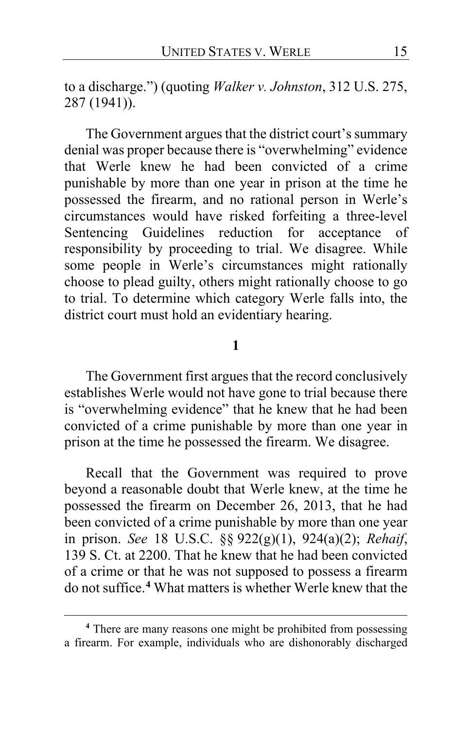to a discharge.") (quoting *Walker v. Johnston*, 312 U.S. 275, 287 (1941)).

The Government argues that the district court's summary denial was proper because there is "overwhelming" evidence that Werle knew he had been convicted of a crime punishable by more than one year in prison at the time he possessed the firearm, and no rational person in Werle's circumstances would have risked forfeiting a three-level Sentencing Guidelines reduction for acceptance of responsibility by proceeding to trial. We disagree. While some people in Werle's circumstances might rationally choose to plead guilty, others might rationally choose to go to trial. To determine which category Werle falls into, the district court must hold an evidentiary hearing.

#### **1**

The Government first argues that the record conclusively establishes Werle would not have gone to trial because there is "overwhelming evidence" that he knew that he had been convicted of a crime punishable by more than one year in prison at the time he possessed the firearm. We disagree.

Recall that the Government was required to prove beyond a reasonable doubt that Werle knew, at the time he possessed the firearm on December 26, 2013, that he had been convicted of a crime punishable by more than one year in prison. *See* 18 U.S.C. §§ 922(g)(1), 924(a)(2); *Rehaif*, 139 S. Ct. at 2200. That he knew that he had been convicted of a crime or that he was not supposed to possess a firearm do not suffice.**[4](#page-14-0)** What matters is whether Werle knew that the

<span id="page-14-0"></span>**<sup>4</sup>** There are many reasons one might be prohibited from possessing a firearm. For example, individuals who are dishonorably discharged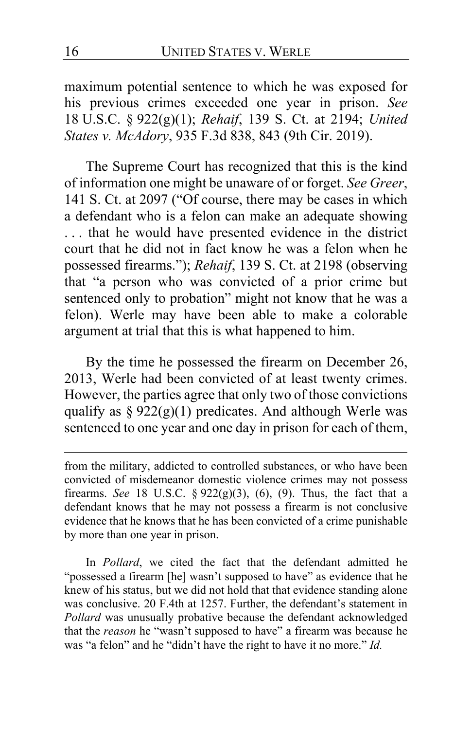maximum potential sentence to which he was exposed for his previous crimes exceeded one year in prison. *See*  18 U.S.C. § 922(g)(1); *Rehaif*, 139 S. Ct. at 2194; *United States v. McAdory*, 935 F.3d 838, 843 (9th Cir. 2019).

The Supreme Court has recognized that this is the kind of information one might be unaware of or forget. *See Greer*, 141 S. Ct. at 2097 ("Of course, there may be cases in which a defendant who is a felon can make an adequate showing . . . that he would have presented evidence in the district court that he did not in fact know he was a felon when he possessed firearms."); *Rehaif*, 139 S. Ct. at 2198 (observing that "a person who was convicted of a prior crime but sentenced only to probation" might not know that he was a felon). Werle may have been able to make a colorable argument at trial that this is what happened to him.

By the time he possessed the firearm on December 26, 2013, Werle had been convicted of at least twenty crimes. However, the parties agree that only two of those convictions qualify as  $\S 922(g)(1)$  predicates. And although Werle was sentenced to one year and one day in prison for each of them,

In *Pollard*, we cited the fact that the defendant admitted he "possessed a firearm [he] wasn't supposed to have" as evidence that he knew of his status, but we did not hold that that evidence standing alone was conclusive. 20 F.4th at 1257. Further, the defendant's statement in *Pollard* was unusually probative because the defendant acknowledged that the *reason* he "wasn't supposed to have" a firearm was because he was "a felon" and he "didn't have the right to have it no more." *Id.*

from the military, addicted to controlled substances, or who have been convicted of misdemeanor domestic violence crimes may not possess firearms. *See* 18 U.S.C. § 922(g)(3), (6), (9). Thus, the fact that a defendant knows that he may not possess a firearm is not conclusive evidence that he knows that he has been convicted of a crime punishable by more than one year in prison.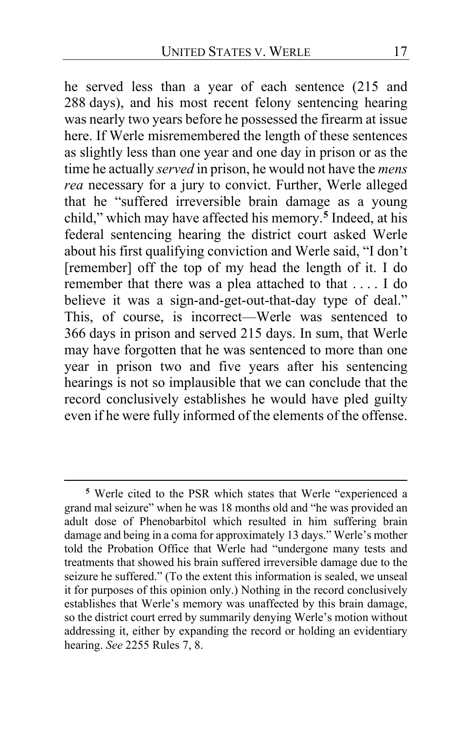he served less than a year of each sentence (215 and 288 days), and his most recent felony sentencing hearing was nearly two years before he possessed the firearm at issue here. If Werle misremembered the length of these sentences as slightly less than one year and one day in prison or as the time he actually *served* in prison, he would not have the *mens rea* necessary for a jury to convict. Further, Werle alleged that he "suffered irreversible brain damage as a young child," which may have affected his memory.**[5](#page-16-0)** Indeed, at his federal sentencing hearing the district court asked Werle about his first qualifying conviction and Werle said, "I don't [remember] off the top of my head the length of it. I do remember that there was a plea attached to that . . . . I do believe it was a sign-and-get-out-that-day type of deal." This, of course, is incorrect—Werle was sentenced to 366 days in prison and served 215 days. In sum, that Werle may have forgotten that he was sentenced to more than one year in prison two and five years after his sentencing hearings is not so implausible that we can conclude that the record conclusively establishes he would have pled guilty even if he were fully informed of the elements of the offense.

<span id="page-16-0"></span>**<sup>5</sup>** Werle cited to the PSR which states that Werle "experienced a grand mal seizure" when he was 18 months old and "he was provided an adult dose of Phenobarbitol which resulted in him suffering brain damage and being in a coma for approximately 13 days." Werle's mother told the Probation Office that Werle had "undergone many tests and treatments that showed his brain suffered irreversible damage due to the seizure he suffered." (To the extent this information is sealed, we unseal it for purposes of this opinion only.) Nothing in the record conclusively establishes that Werle's memory was unaffected by this brain damage, so the district court erred by summarily denying Werle's motion without addressing it, either by expanding the record or holding an evidentiary hearing. *See* 2255 Rules 7, 8.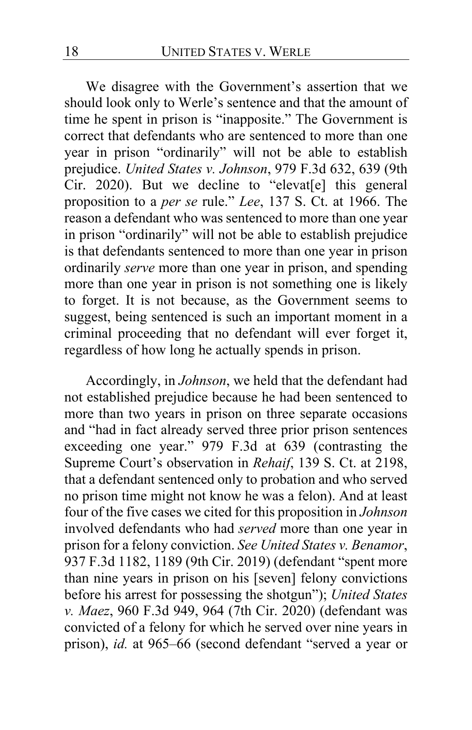We disagree with the Government's assertion that we should look only to Werle's sentence and that the amount of time he spent in prison is "inapposite." The Government is correct that defendants who are sentenced to more than one year in prison "ordinarily" will not be able to establish prejudice. *United States v. Johnson*, 979 F.3d 632, 639 (9th Cir. 2020). But we decline to "elevat[e] this general proposition to a *per se* rule." *Lee*, 137 S. Ct. at 1966. The reason a defendant who was sentenced to more than one year in prison "ordinarily" will not be able to establish prejudice is that defendants sentenced to more than one year in prison ordinarily *serve* more than one year in prison, and spending more than one year in prison is not something one is likely to forget. It is not because, as the Government seems to suggest, being sentenced is such an important moment in a criminal proceeding that no defendant will ever forget it, regardless of how long he actually spends in prison.

Accordingly, in *Johnson*, we held that the defendant had not established prejudice because he had been sentenced to more than two years in prison on three separate occasions and "had in fact already served three prior prison sentences exceeding one year." 979 F.3d at 639 (contrasting the Supreme Court's observation in *Rehaif*, 139 S. Ct. at 2198, that a defendant sentenced only to probation and who served no prison time might not know he was a felon). And at least four of the five cases we cited for this proposition in *Johnson*  involved defendants who had *served* more than one year in prison for a felony conviction. *See United States v. Benamor*, 937 F.3d 1182, 1189 (9th Cir. 2019) (defendant "spent more than nine years in prison on his [seven] felony convictions before his arrest for possessing the shotgun"); *United States v. Maez*, 960 F.3d 949, 964 (7th Cir. 2020) (defendant was convicted of a felony for which he served over nine years in prison), *id.* at 965–66 (second defendant "served a year or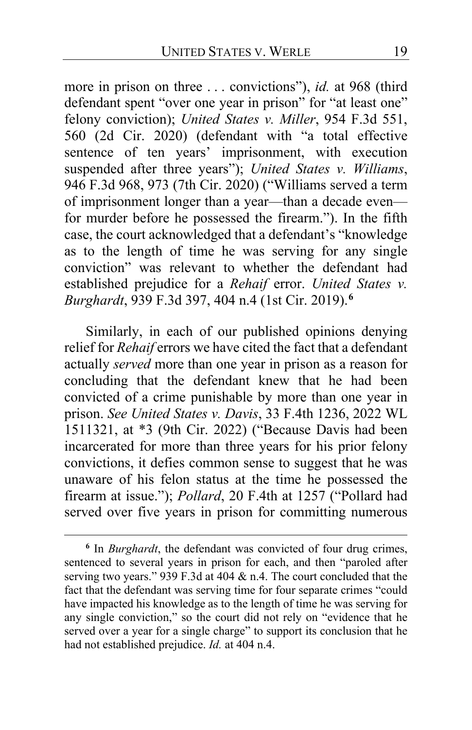more in prison on three . . . convictions"), *id.* at 968 (third defendant spent "over one year in prison" for "at least one" felony conviction); *United States v. Miller*, 954 F.3d 551, 560 (2d Cir. 2020) (defendant with "a total effective sentence of ten years' imprisonment, with execution suspended after three years"); *United States v. Williams*, 946 F.3d 968, 973 (7th Cir. 2020) ("Williams served a term of imprisonment longer than a year—than a decade even for murder before he possessed the firearm."). In the fifth case, the court acknowledged that a defendant's "knowledge as to the length of time he was serving for any single conviction" was relevant to whether the defendant had established prejudice for a *Rehaif* error. *United States v. Burghardt*, 939 F.3d 397, 404 n.4 (1st Cir. 2019).**[6](#page-18-0)**

Similarly, in each of our published opinions denying relief for *Rehaif* errors we have cited the fact that a defendant actually *served* more than one year in prison as a reason for concluding that the defendant knew that he had been convicted of a crime punishable by more than one year in prison. *See United States v. Davis*, 33 F.4th 1236, 2022 WL 1511321, at \*3 (9th Cir. 2022) ("Because Davis had been incarcerated for more than three years for his prior felony convictions, it defies common sense to suggest that he was unaware of his felon status at the time he possessed the firearm at issue."); *Pollard*, 20 F.4th at 1257 ("Pollard had served over five years in prison for committing numerous

<span id="page-18-0"></span>**<sup>6</sup>** In *Burghardt*, the defendant was convicted of four drug crimes, sentenced to several years in prison for each, and then "paroled after serving two years." 939 F.3d at 404 & n.4. The court concluded that the fact that the defendant was serving time for four separate crimes "could have impacted his knowledge as to the length of time he was serving for any single conviction," so the court did not rely on "evidence that he served over a year for a single charge" to support its conclusion that he had not established prejudice. *Id.* at 404 n.4.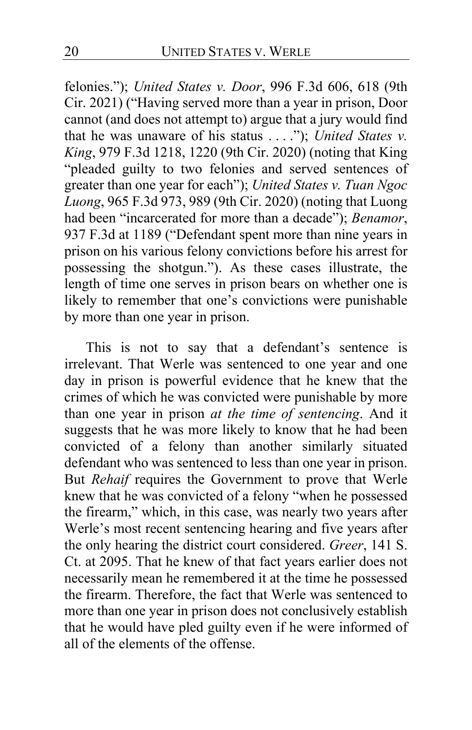felonies."); *United States v. Door*, 996 F.3d 606, 618 (9th Cir. 2021) ("Having served more than a year in prison, Door cannot (and does not attempt to) argue that a jury would find that he was unaware of his status . . . ."); *United States v. King*, 979 F.3d 1218, 1220 (9th Cir. 2020) (noting that King "pleaded guilty to two felonies and served sentences of greater than one year for each"); *United States v. Tuan Ngoc Luong*, 965 F.3d 973, 989 (9th Cir. 2020) (noting that Luong had been "incarcerated for more than a decade"); *Benamor*, 937 F.3d at 1189 ("Defendant spent more than nine years in prison on his various felony convictions before his arrest for possessing the shotgun."). As these cases illustrate, the length of time one serves in prison bears on whether one is likely to remember that one's convictions were punishable by more than one year in prison.

This is not to say that a defendant's sentence is irrelevant. That Werle was sentenced to one year and one day in prison is powerful evidence that he knew that the crimes of which he was convicted were punishable by more than one year in prison *at the time of sentencing*. And it suggests that he was more likely to know that he had been convicted of a felony than another similarly situated defendant who was sentenced to less than one year in prison. But *Rehaif* requires the Government to prove that Werle knew that he was convicted of a felony "when he possessed the firearm," which, in this case, was nearly two years after Werle's most recent sentencing hearing and five years after the only hearing the district court considered. *Greer*, 141 S. Ct. at 2095. That he knew of that fact years earlier does not necessarily mean he remembered it at the time he possessed the firearm. Therefore, the fact that Werle was sentenced to more than one year in prison does not conclusively establish that he would have pled guilty even if he were informed of all of the elements of the offense.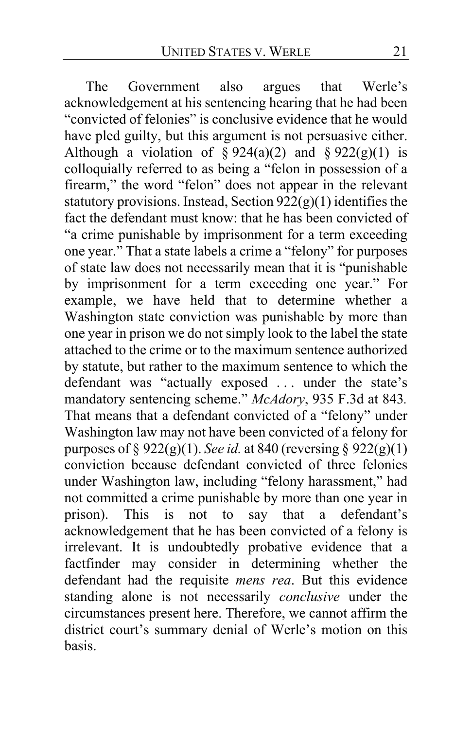The Government also argues that Werle's acknowledgement at his sentencing hearing that he had been "convicted of felonies" is conclusive evidence that he would have pled guilty, but this argument is not persuasive either. Although a violation of  $\S 924(a)(2)$  and  $\S 922(g)(1)$  is colloquially referred to as being a "felon in possession of a firearm," the word "felon" does not appear in the relevant statutory provisions. Instead, Section  $922(g)(1)$  identifies the fact the defendant must know: that he has been convicted of "a crime punishable by imprisonment for a term exceeding one year." That a state labels a crime a "felony" for purposes of state law does not necessarily mean that it is "punishable by imprisonment for a term exceeding one year." For example, we have held that to determine whether a Washington state conviction was punishable by more than one year in prison we do not simply look to the label the state attached to the crime or to the maximum sentence authorized by statute, but rather to the maximum sentence to which the defendant was "actually exposed ... under the state's mandatory sentencing scheme." *McAdory*, 935 F.3d at 843*.*  That means that a defendant convicted of a "felony" under Washington law may not have been convicted of a felony for purposes of § 922(g)(1). *See id.* at 840 (reversing § 922(g)(1) conviction because defendant convicted of three felonies under Washington law, including "felony harassment," had not committed a crime punishable by more than one year in prison). This is not to say that a defendant's acknowledgement that he has been convicted of a felony is irrelevant. It is undoubtedly probative evidence that a factfinder may consider in determining whether the defendant had the requisite *mens rea*. But this evidence standing alone is not necessarily *conclusive* under the circumstances present here. Therefore, we cannot affirm the district court's summary denial of Werle's motion on this basis.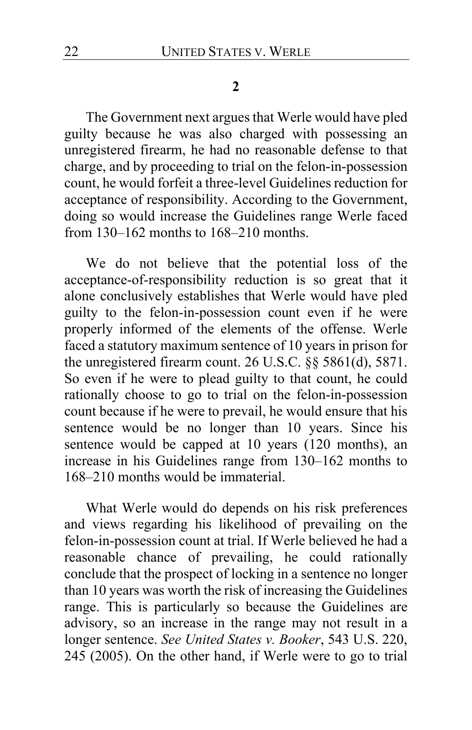#### **2**

The Government next argues that Werle would have pled guilty because he was also charged with possessing an unregistered firearm, he had no reasonable defense to that charge, and by proceeding to trial on the felon-in-possession count, he would forfeit a three-level Guidelines reduction for acceptance of responsibility. According to the Government, doing so would increase the Guidelines range Werle faced from 130–162 months to 168–210 months.

We do not believe that the potential loss of the acceptance-of-responsibility reduction is so great that it alone conclusively establishes that Werle would have pled guilty to the felon-in-possession count even if he were properly informed of the elements of the offense. Werle faced a statutory maximum sentence of 10 years in prison for the unregistered firearm count. 26 U.S.C. §§ 5861(d), 5871. So even if he were to plead guilty to that count, he could rationally choose to go to trial on the felon-in-possession count because if he were to prevail, he would ensure that his sentence would be no longer than 10 years. Since his sentence would be capped at 10 years (120 months), an increase in his Guidelines range from 130–162 months to 168–210 months would be immaterial.

What Werle would do depends on his risk preferences and views regarding his likelihood of prevailing on the felon-in-possession count at trial. If Werle believed he had a reasonable chance of prevailing, he could rationally conclude that the prospect of locking in a sentence no longer than 10 years was worth the risk of increasing the Guidelines range. This is particularly so because the Guidelines are advisory, so an increase in the range may not result in a longer sentence. *See United States v. Booker*, 543 U.S. 220, 245 (2005). On the other hand, if Werle were to go to trial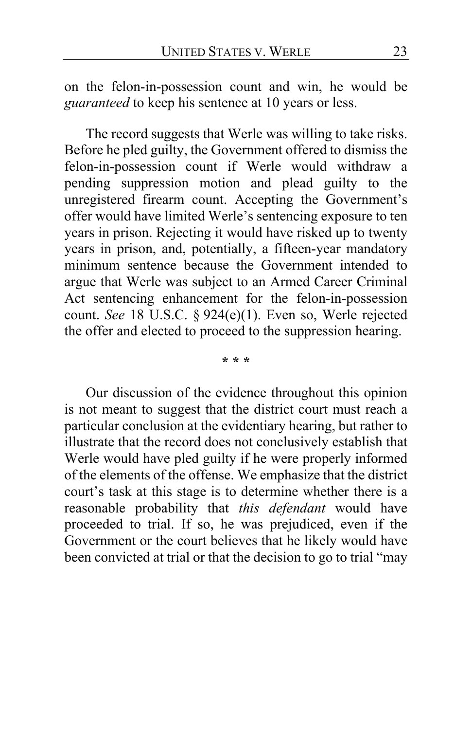on the felon-in-possession count and win, he would be *guaranteed* to keep his sentence at 10 years or less.

The record suggests that Werle was willing to take risks. Before he pled guilty, the Government offered to dismiss the felon-in-possession count if Werle would withdraw a pending suppression motion and plead guilty to the unregistered firearm count. Accepting the Government's offer would have limited Werle's sentencing exposure to ten years in prison. Rejecting it would have risked up to twenty years in prison, and, potentially, a fifteen-year mandatory minimum sentence because the Government intended to argue that Werle was subject to an Armed Career Criminal Act sentencing enhancement for the felon-in-possession count. *See* 18 U.S.C. § 924(e)(1). Even so, Werle rejected the offer and elected to proceed to the suppression hearing.

**\* \* \***

Our discussion of the evidence throughout this opinion is not meant to suggest that the district court must reach a particular conclusion at the evidentiary hearing, but rather to illustrate that the record does not conclusively establish that Werle would have pled guilty if he were properly informed of the elements of the offense. We emphasize that the district court's task at this stage is to determine whether there is a reasonable probability that *this defendant* would have proceeded to trial. If so, he was prejudiced, even if the Government or the court believes that he likely would have been convicted at trial or that the decision to go to trial "may